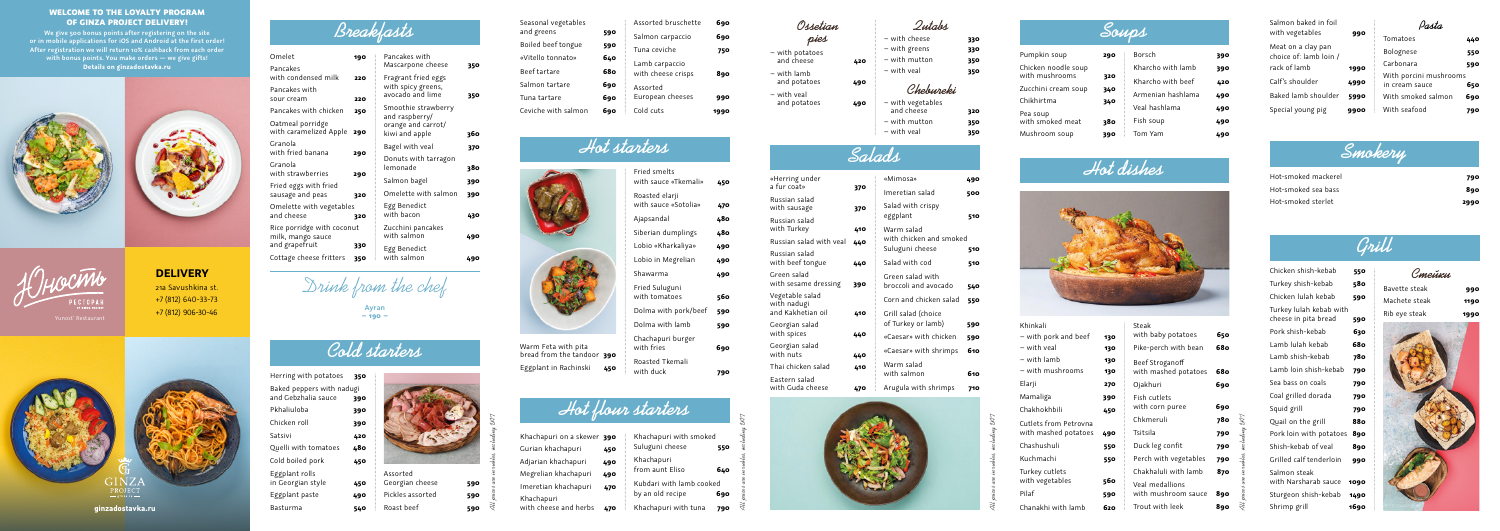



| Breakfasts                                 |     |                                       |      |
|--------------------------------------------|-----|---------------------------------------|------|
| Omelet                                     | 190 | Pancakes with                         |      |
| Pancakes                                   |     | Mascarpone cheese                     | 350  |
| with condensed milk                        | 220 | Fragrant fried eggs                   |      |
| Pancakes with                              |     | with spicy greens,                    |      |
| sour cream                                 | 220 | avocado and lime                      | 350  |
| Pancakes with chicken                      | 250 | Smoothie strawberry<br>and raspberry/ |      |
| Oatmeal porridge<br>with caramelized Apple | 290 | orange and carrot/<br>kiwi and annle  | วคิก |

**Ayran – 190 –**

#### Cold starters<br>
Warm Feta with pita

| I alicancs With Chicken<br>Oatmeal porridge<br>with caramelized Apple | 290 | and raspberry/<br>orange and carrot/<br>kiwi and apple | 360 |
|-----------------------------------------------------------------------|-----|--------------------------------------------------------|-----|
| Granola<br>with fried banana                                          | 290 | Bagel with veal                                        | 370 |
| Granola<br>with strawberries                                          | 290 | Donuts with tarragon<br>lemonade                       | 380 |
| Fried eggs with fried                                                 |     | Salmon bagel                                           | 390 |
| sausage and peas                                                      | 320 | Omelette with salmon                                   | 390 |
| Omelette with vegetables<br>and cheese                                | 320 | Egg Benedict<br>with bacon                             | 430 |
| Rice porridge with coconut<br>milk, mango sauce                       |     | Zucchini pancakes<br>with salmon                       | 490 |
| and grapefruit                                                        | 330 | Egg Benedict                                           |     |
| Cottage cheese fritters                                               | 350 | with salmon                                            | 490 |

with tomatoes **560** Dolma with pork/beef **590** Dolma with lamb **590**

Chachapuri burger with fries

Drink from the chef

| Khachapuri on a skewer 390<br>Khachapuri with smoked |                                                                                                |
|------------------------------------------------------|------------------------------------------------------------------------------------------------|
| Suluguni cheese                                      | 550                                                                                            |
| Khachapuri                                           |                                                                                                |
|                                                      | 640                                                                                            |
| Kubdari with lamb cooked                             |                                                                                                |
|                                                      | 690                                                                                            |
|                                                      | 450<br>490<br>from aunt Eliso<br>490<br>470<br>by an old recipe<br>Khachapuri with tuna<br>470 |

Herring with potatoes **350** Baked peppers with nadugi and Gebzhalia sauce **390** Pkhaliuloba **390** Chicken roll **390** Satsivi **420** Quelli with tomatoes **480** Cold boiled pork **450** Eggplant rolls in Georgian style **450** Eggplant paste **490** Basturma **540**

Georgian with nuts **440**

Thai chick

Eastern s with Guda cheese

bread from the tandoor **390** Eggplant in Rachinski **450** Fried smelts

with sauce «Tkemali» **450**

Roasted elarji

with sauce «Sotolia» **470** Ajapsandal **480** Siberian dumplings **480** Lobio «Kharkaliya» **490** Lobio in Megrelian **490** Shawarma **490**

Fried Suluguni

Roasted Tkemali

with duck **790**





| 130<br>130 | Steak<br>with baby potatoes<br>Pike-perch with bean | 650<br>680 |                                      |
|------------|-----------------------------------------------------|------------|--------------------------------------|
| 130<br>130 | Beef Stroganoff<br>with mashed potatoes             | 680        |                                      |
| 270        | Ojakhuri                                            | 690        |                                      |
| 390<br>450 | Fish cutlets<br>with corn puree                     | 690        |                                      |
|            | Chkmeruli                                           | 78o        |                                      |
| 490        | Tsitsila                                            | 790        |                                      |
| 550        | Duck leg confit                                     | 790        |                                      |
| 550        | Perch with vegetables                               | 790        |                                      |
|            | Chakhaluli with lamb                                | 870        |                                      |
| 560<br>590 | Veal medallions<br>with mushroom sauce              | 890        | prices are in rubles, including VK T |
| 620        | Trout with leek                                     | 890        |                                      |

**Hot flour starters**

- $-$  with potato and cheese – with lamb and potato – with veal
- 

 $\kappa$ Herring

a fur coat Russian s with saus

Russian s with Turk

Russian : Russian s

with beef Green sal

with sesa Vegetable with nad and Kakh

Georgian with spice

| under                   |     | «Mimosa»                                   | 490 |
|-------------------------|-----|--------------------------------------------|-----|
| t»                      | 370 | Imeretian salad                            | 500 |
| alad<br>sage<br>alad    | 370 | Salad with crispy<br>eggplant              | 510 |
| <b>kev</b>              | 410 | Warm salad                                 |     |
| alad with veal;<br>alad | 440 | with chicken and smoked<br>Suluguni cheese | 510 |
| f tongue                | 440 | Salad with cod                             | 510 |
| lad<br>ame dressing     | 390 | Green salad with<br>broccoli and avocado   | 540 |
| e salad<br>ugi          |     | Corn and chicken salad                     | 550 |
| ıetian oil<br>salad     | 410 | Grill salad (choice<br>of Turkey or lamb)  | 590 |
| es                      | 440 | «Caesar» with chicken                      | 590 |
| salad<br>ς              | 440 | «Caesar» with shrimps                      | 610 |
| ken salad               | 410 | Warm salad<br>with salmon                  | 610 |
| salad<br>la cheese      | 470 | Arugula with shrimps                       | 710 |

# **Salads**

| Khinkali                                      |     |
|-----------------------------------------------|-----|
| – with pork and beef                          | 130 |
| – with veal                                   | 130 |
| – with lamb                                   | 130 |
| – with mushrooms                              | 130 |
| Elarji                                        | 270 |
| Mamaliga                                      | 390 |
| Chakhokhbili                                  | 450 |
| Cutlets from Petrovna<br>with mashed potatoes | 490 |
| Chashushuli                                   | 550 |
| Kuchmachi                                     | 550 |
| Turkey cutlets<br>with vegetables             | 560 |
| Pilaf                                         | 590 |
| Chanakhi with lamb                            | 620 |

| 790 |
|-----|
| 890 |
|     |

Hot-smoked sterlet **2990**

| Soups                                 |            |                                        |            |
|---------------------------------------|------------|----------------------------------------|------------|
| Pumpkin soup                          | 290        | Borsch                                 | 390        |
| Chicken noodle soup<br>with mushrooms | 320        | Kharcho with lamb<br>Kharcho with beef | 390        |
| Zucchini cream soup<br>Chikhirtma     | 340<br>340 | Armenian hashlama                      | 420<br>490 |
| Pea soup<br>with smoked meat          | 380        | Veal hashlama<br>Fish soup             | 490<br>490 |
| Mushroom soup                         | 390        | Tom Yam                                | 490        |

# Hot dishes



| Chicken shish-kebab                             | 550  |  |
|-------------------------------------------------|------|--|
| Turkey shish-kebab                              | 580  |  |
| Chicken lulah kebab                             | 590  |  |
| Turkey lulah kebab with<br>cheese in pita bread | 590  |  |
| Pork shish-kebab                                | 630  |  |
| Lamb lulah kebab                                | 680  |  |
| Lamb shish-kebab                                | 78o  |  |
| Lamb loin shish-kebab                           | 790  |  |
| Sea bass on coals                               | 790  |  |
| Coal grilled dorada                             | 790  |  |
| Squid grill                                     | 790  |  |
| Quail on the grill                              | 880  |  |
| Pork loin with potatoes                         | 890  |  |
| Shish-kebab of veal                             | 890  |  |
| Grilled calf tenderloin                         | 990  |  |
| Salmon steak<br>with Narsharab sauce            | 1090 |  |
| Sturgeon shish-kebab                            | 1490 |  |
| Shrimp grill                                    | 1690 |  |

# **Grill**

| Bavette steak | 990  |
|---------------|------|
| Machete steak | 1190 |
| Rib eye steak | 1990 |



Assorted Georgian cheese **590** Pickles assorted **590** Roast beef **590**

| Salmon baked in foil                         |      | Ita.                                     |
|----------------------------------------------|------|------------------------------------------|
| with vegetables                              | 990  | Tomatoes                                 |
| Meat on a clay pan<br>choice of: lamb loin / |      | Bolognese                                |
| rack of lamb                                 | 1990 | Carbonara                                |
| Calf's shoulder                              | 4990 | With porcini mushrooms<br>in cream sauce |
| Baked lamb shoulder                          | 5990 | With smoked salmon                       |
| Special young pig                            | 9900 | With seafood                             |

|            | Assorted bruschette | 690                            |
|------------|---------------------|--------------------------------|
| 590        | Salmon carpaccio    | 690                            |
| 590        |                     | 750                            |
| 640        |                     |                                |
| <b>680</b> | with cheese crisps  | 890                            |
| 690        | Assorted            |                                |
| 690        | European cheeses    | 990                            |
| 690        | Cold cuts           | 1990                           |
|            |                     | Tuna ceviche<br>Lamb carpaccio |

#### **Ossetian**

# **pies**

| pies                          |     |
|-------------------------------|-----|
| with potatoes -<br>and cheese | 420 |
| - with lamb<br>and potatoes   | 490 |
| - with veal<br>and potatoes   |     |

Tomatoes **440** Bolognese **550** Carbonara **590**

in cream sauce **650** With smoked salmon **690** With seafood **790**

#### **Qutabs**

| — with cheese                   |     |
|---------------------------------|-----|
| – with greens                   | 330 |
| $-$ with mutton                 | 350 |
| – with veal                     |     |
| Chebureki                       |     |
| - with vegetables<br>and cheese |     |
| – with mutton                   |     |
| - with yeal                     |     |

**ginzadostavka.ru**

#### WELCOME TO THE LOYALTY PROGRAM OF GINZA PROJECT DELIVERY!

**We give 500 bonus points after registering on the site or in mobile applications for iOS and Android at the first order! After registration we will return 10% cashback from each order with bonus points. You make orders — we give gifts! Details on ginzadostavka.ru**





#### **DELIVERY** 21a Savushkina st.

+7 (812) 640-33-73 +7 (812) 906-30-46 Yunost' Restaurant